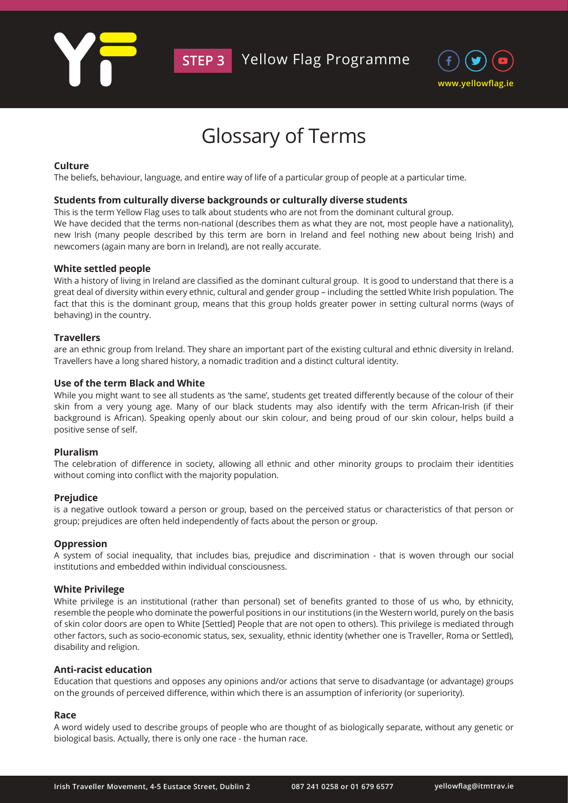

# Glossary of Terms

## **Culture**

The beliefs, behaviour, language, and entire way of life of a particular group of people at a particular time.

## **Students from culturally diverse backgrounds or culturally diverse students**

This is the term Yellow Flag uses to talk about students who are not from the dominant cultural group. We have decided that the terms non-national (describes them as what they are not, most people have a nationality), new Irish (many people described by this term are born in Ireland and feel nothing new about being Irish) and newcomers (again many are born in Ireland), are not really accurate.

## **White settled people**

With a history of living in Ireland are classified as the dominant cultural group. It is good to understand that there is a great deal of diversity within every ethnic, cultural and gender group – including the settled White Irish population. The fact that this is the dominant group, means that this group holds greater power in setting cultural norms (ways of behaving) in the country.

## **Travellers**

are an ethnic group from Ireland. They share an important part of the existing cultural and ethnic diversity in Ireland. Travellers have a long shared history, a nomadic tradition and a distinct cultural identity.

## **Use of the term Black and White**

While you might want to see all students as 'the same', students get treated differently because of the colour of their skin from a very young age. Many of our black students may also identify with the term African-Irish (if their background is African). Speaking openly about our skin colour, and being proud of our skin colour, helps build a positive sense of self.

## **Pluralism**

The celebration of difference in society, allowing all ethnic and other minority groups to proclaim their identities without coming into conflict with the majority population.

## **Prejudice**

is a negative outlook toward a person or group, based on the perceived status or characteristics of that person or group; prejudices are often held independently of facts about the person or group.

## **Oppression**

A system of social inequality, that includes bias, prejudice and discrimination - that is woven through our social institutions and embedded within individual consciousness.

## **White Privilege**

White privilege is an institutional (rather than personal) set of benefits granted to those of us who, by ethnicity, resemble the people who dominate the powerful positions in our institutions (in the Western world, purely on the basis of skin color doors are open to White [Settled] People that are not open to others). This privilege is mediated through other factors, such as socio-economic status, sex, sexuality, ethnic identity (whether one is Traveller, Roma or Settled), disability and religion.

## **Anti-racist education**

Education that questions and opposes any opinions and/or actions that serve to disadvantage (or advantage) groups on the grounds of perceived difference, within which there is an assumption of inferiority (or superiority).

## **Race**

A word widely used to describe groups of people who are thought of as biologically separate, without any genetic or biological basis. Actually, there is only one race - the human race.